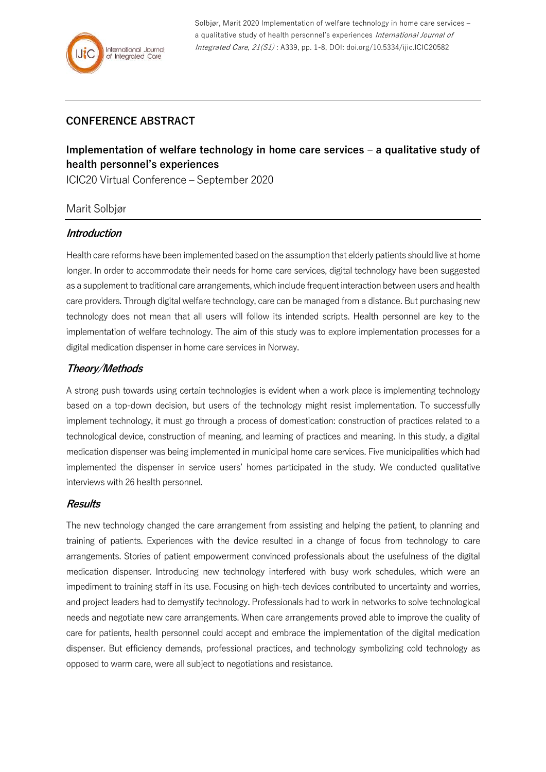Solbjør, Marit 2020 Implementation of welfare technology in home care services – a qualitative study of health personnel's experiences International Journal of Integrated Care, 21(S1) : A339, pp. 1-8, DOI: doi.org/10.5334/ijic.ICIC20582

# **CONFERENCE ABSTRACT**

# **Implementation of welfare technology in home care services – a qualitative study of health personnel's experiences**

ICIC20 Virtual Conference – September 2020

# Marit Solbjør

# **Introduction**

Health care reforms have been implemented based on the assumption that elderly patients should live at home longer. In order to accommodate their needs for home care services, digital technology have been suggested as a supplement to traditional care arrangements, which include frequent interaction between users and health care providers. Through digital welfare technology, care can be managed from a distance. But purchasing new technology does not mean that all users will follow its intended scripts. Health personnel are key to the implementation of welfare technology. The aim of this study was to explore implementation processes for a digital medication dispenser in home care services in Norway.

# **Theory/Methods**

A strong push towards using certain technologies is evident when a work place is implementing technology based on a top-down decision, but users of the technology might resist implementation. To successfully implement technology, it must go through a process of domestication: construction of practices related to a technological device, construction of meaning, and learning of practices and meaning. In this study, a digital medication dispenser was being implemented in municipal home care services. Five municipalities which had implemented the dispenser in service users' homes participated in the study. We conducted qualitative interviews with 26 health personnel.

#### **Results**

The new technology changed the care arrangement from assisting and helping the patient, to planning and training of patients. Experiences with the device resulted in a change of focus from technology to care arrangements. Stories of patient empowerment convinced professionals about the usefulness of the digital medication dispenser. Introducing new technology interfered with busy work schedules, which were an impediment to training staff in its use. Focusing on high-tech devices contributed to uncertainty and worries, and project leaders had to demystify technology. Professionals had to work in networks to solve technological needs and negotiate new care arrangements. When care arrangements proved able to improve the quality of care for patients, health personnel could accept and embrace the implementation of the digital medication dispenser. But efficiency demands, professional practices, and technology symbolizing cold technology as opposed to warm care, were all subject to negotiations and resistance.